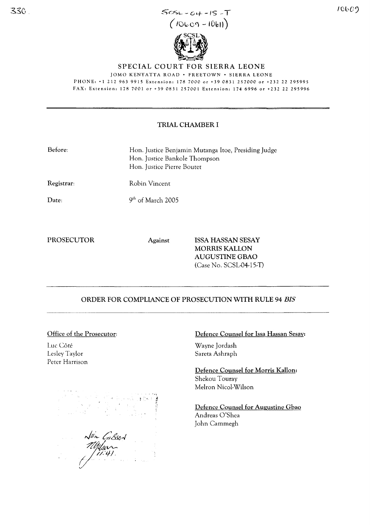

 $\frac{1}{2}$ 

SPECIAL COURT FOR SIERRA LEONE

JOMO KENYATTA ROAD · FREETOWN · SIERRA LEONE PHONE, +1 212 963 9915 Extension' 1787000 or +39 0831257000 or +232 22 295995 FAX, Extension, 178 7001 or +39 0831 257001 Extension, 174 6996 or +232 22 295996

## TRIAL CHAMBER I

| Before: | Hon. Justice Benjamin Mutanga Itoe, Presiding Judge |
|---------|-----------------------------------------------------|
|         | Hon. Justice Bankole Thompson                       |
|         | Hon. Justice Pierre Boutet                          |

Registrar:

Robin Vincent

9<sup>th</sup> of March 2005

Date:

 $330.$ 

PROSECUTOR Against ISSA HASSAN SESAY MORRIS KALLON AUGUSTINE GBAO (Case No. SCSL-04-15-T)

# ORDER FOR COMPLIANCE OF PROSECUTION WITH RULE 94 *BIS*

### Office of the Prosecutor:

Luc Cote Lesley Taylor Peter Harrison



### Defence Counsel for Issa Hassan Sesay:

Wayne Jordash Sareta Ashraph

Defence Counsel for Morris Kallon: Shekou Touray Melron Nicol-Wilson

Defence Counsel for Augustine Gbao Andreas O'Shea John Cammegh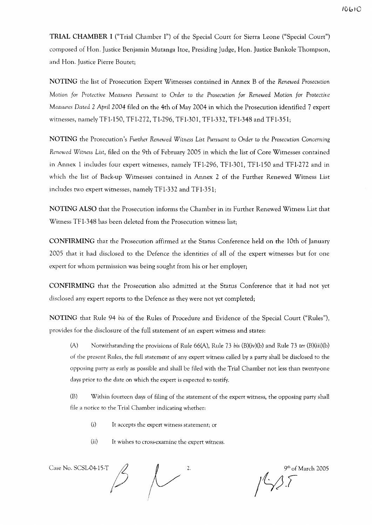**TRIAL** CHAMBER I ("Trial Chamber I") of the Special Court for Sierra Leone ("Special Court") composed of Hon. Justice Benjamin Mutanga ltoe, Presiding Judge, Hon. Justice Bankole Thompson, and Hon. Justice Pierre Boutet;

NOTING the list of Prosecution Expert Witnesses contained in Annex B of the *Renewed Prosecution*  $M$ otion *for* Protective Measures Pursuant to Order to the Prosecution *for* Renewed Motion *for Protective Measures Dated* 2 *April* 2004 filed on the 4th of May 2004 in which the Prosecution identified 7 expert witnesses, namely TF1-150, TF1-272, T1-296, TF1-301, TF1-332, TF1-348 and TF1-351;

NOTING the Prosecution's *Further Renewed Witness List Pursuant* to *Order* to *the Prosecution* Concerning *Renewed Witness List,* filed on the 9th of February 2005 in which the list of Core Witnesses contained in Annex 1 includes four expert witnesses, namely TF1-296, TF1-301, TF1-150 and TF1-272 and in which the list of Back-up Witnesses contained in Annex 2 of the Further Renewed Witness List includes two expert witnesses, namely TFl-332 and TFl-351;

NOTING ALSO that the Prosecution informs the Chamber in its Further Renewed Witness List that Witness TFl-348 has been deleted from the Prosecution witness list;

CONFIRMING that the Prosecution affirmed at the Status Conference held on the 10th of January 2005 that it had disclosed to the Defence the identities of all of the expert witnesses but for one expert for whom permission was being sought from his or her employer;

CONFIRMING that the Prosecution also admitted at the Status Conference that it had not yet disclosed any expert reports to the Defence as they were not yet completed;

NOTING that Rule 94 *his* of tihe Rules of Procedure and Evidence of the Special Court ("Rules"), provides for the disclosure of the full statement of an expert witness and states:

(A) Notwithstanding the provisions of Rule 66(A), Rule 73 his (B)(iv)(b) and Rule 73 *ter* (B)(iii)(b) of the present Rules, the full statement of any expert witness called by a party shall be disclosed to the opposing party as early as possible and shall be filed with the Trial Chamber not less than twenty-one days prior to the date on which the expert is expected to testify.

(B) Within fourteen days of filing of the statement of the expert witness, the opposing party shall file a notice to the Trial Chamber indicating whether:

- (i) It accepts the expert witness statement; or
- (ii) It wishes to cross-examine the expert witness.

Case No. SCSL-04-15-T  $\mathcal{L}$ 

of March 2005 jf;:3F